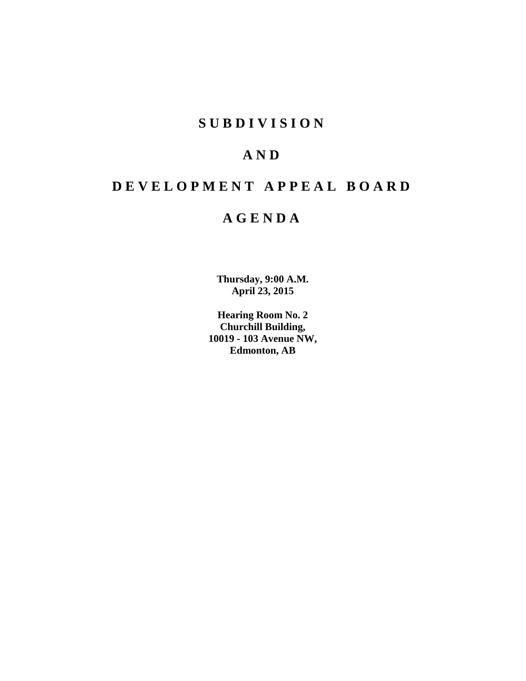# **S U B D I V I S I O N**

# **A N D**

# **D E V E L O P M E N T A P P E A L B O A R D**

# **A G E N D A**

**Thursday, 9:00 A.M. April 23, 2015**

**Hearing Room No. 2 Churchill Building, 10019 - 103 Avenue NW, Edmonton, AB**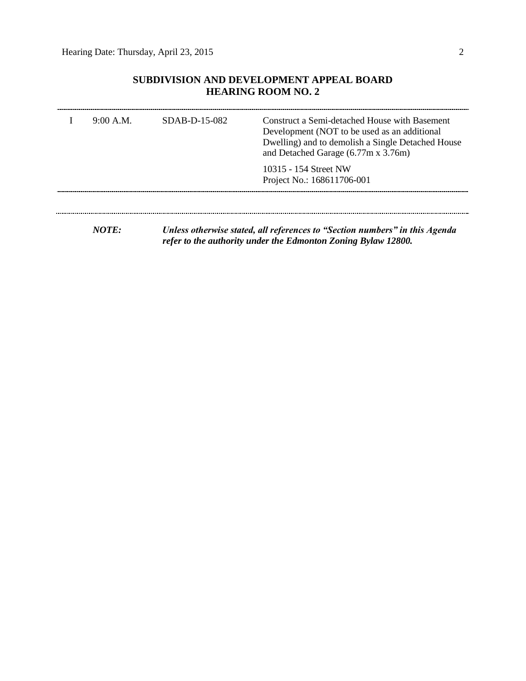### **SUBDIVISION AND DEVELOPMENT APPEAL BOARD HEARING ROOM NO. 2**

| 9:00 A.M. | $SDAB-D-15-082$ | Construct a Semi-detached House with Basement<br>Development (NOT to be used as an additional<br>Dwelling) and to demolish a Single Detached House<br>and Detached Garage (6.77m x 3.76m) |
|-----------|-----------------|-------------------------------------------------------------------------------------------------------------------------------------------------------------------------------------------|
|           |                 | 10315 - 154 Street NW<br>Project No.: 168611706-001                                                                                                                                       |
|           |                 |                                                                                                                                                                                           |
|           |                 |                                                                                                                                                                                           |

*NOTE: Unless otherwise stated, all references to "Section numbers" in this Agenda refer to the authority under the Edmonton Zoning Bylaw 12800.*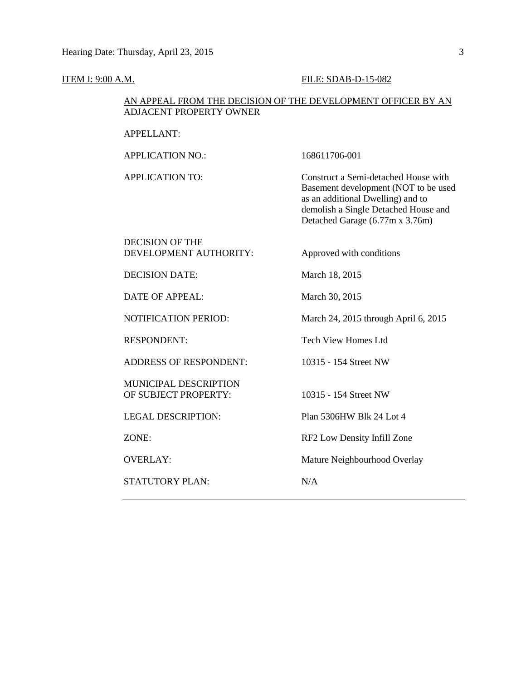#### **ITEM I: 9:00 A.M. FILE: SDAB-D-15-082**

#### AN APPEAL FROM THE DECISION OF THE DEVELOPMENT OFFICER BY AN ADJACENT PROPERTY OWNER

APPLICATION NO.: 168611706-001 APPLICATION TO: Construct a Semi-detached House with Basement development (NOT to be used as an additional Dwelling) and to demolish a Single Detached House and Detached Garage (6.77m x 3.76m) DECISION OF THE DEVELOPMENT AUTHORITY: Approved with conditions DECISION DATE: March 18, 2015 DATE OF APPEAL: March 30, 2015 NOTIFICATION PERIOD: March 24, 2015 through April 6, 2015 RESPONDENT: Tech View Homes Ltd ADDRESS OF RESPONDENT: 10315 - 154 Street NW MUNICIPAL DESCRIPTION OF SUBJECT PROPERTY: 10315 - 154 Street NW LEGAL DESCRIPTION: Plan 5306HW Blk 24 Lot 4 ZONE: RF2 Low Density Infill Zone OVERLAY: Mature Neighbourhood Overlay STATUTORY PLAN: N/A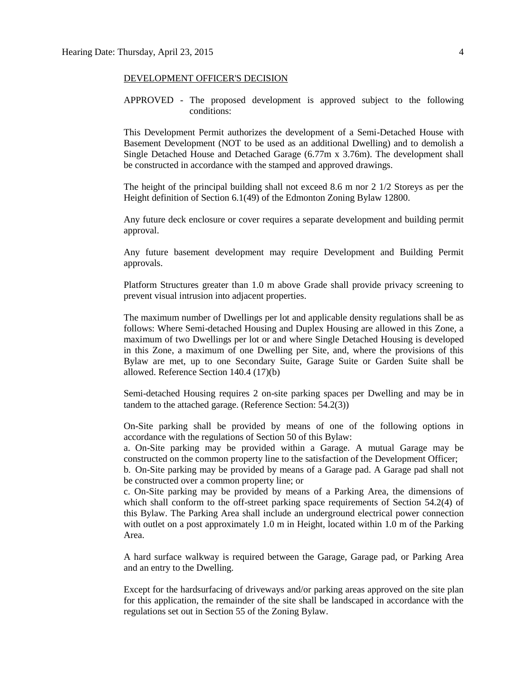#### DEVELOPMENT OFFICER'S DECISION

APPROVED - The proposed development is approved subject to the following conditions:

This Development Permit authorizes the development of a Semi-Detached House with Basement Development (NOT to be used as an additional Dwelling) and to demolish a Single Detached House and Detached Garage (6.77m x 3.76m). The development shall be constructed in accordance with the stamped and approved drawings.

The height of the principal building shall not exceed 8.6 m nor 2 1/2 Storeys as per the Height definition of Section 6.1(49) of the Edmonton Zoning Bylaw 12800.

Any future deck enclosure or cover requires a separate development and building permit approval.

Any future basement development may require Development and Building Permit approvals.

Platform Structures greater than 1.0 m above Grade shall provide privacy screening to prevent visual intrusion into adjacent properties.

The maximum number of Dwellings per lot and applicable density regulations shall be as follows: Where Semi-detached Housing and Duplex Housing are allowed in this Zone, a maximum of two Dwellings per lot or and where Single Detached Housing is developed in this Zone, a maximum of one Dwelling per Site, and, where the provisions of this Bylaw are met, up to one Secondary Suite, Garage Suite or Garden Suite shall be allowed. Reference Section 140.4 (17)(b)

Semi-detached Housing requires 2 on-site parking spaces per Dwelling and may be in tandem to the attached garage. (Reference Section: 54.2(3))

On-Site parking shall be provided by means of one of the following options in accordance with the regulations of Section 50 of this Bylaw:

a. On-Site parking may be provided within a Garage. A mutual Garage may be constructed on the common property line to the satisfaction of the Development Officer;

b. On-Site parking may be provided by means of a Garage pad. A Garage pad shall not be constructed over a common property line; or

c. On-Site parking may be provided by means of a Parking Area, the dimensions of which shall conform to the off-street parking space requirements of Section 54.2(4) of this Bylaw. The Parking Area shall include an underground electrical power connection with outlet on a post approximately 1.0 m in Height, located within 1.0 m of the Parking Area.

A hard surface walkway is required between the Garage, Garage pad, or Parking Area and an entry to the Dwelling.

Except for the hardsurfacing of driveways and/or parking areas approved on the site plan for this application, the remainder of the site shall be landscaped in accordance with the regulations set out in Section 55 of the Zoning Bylaw.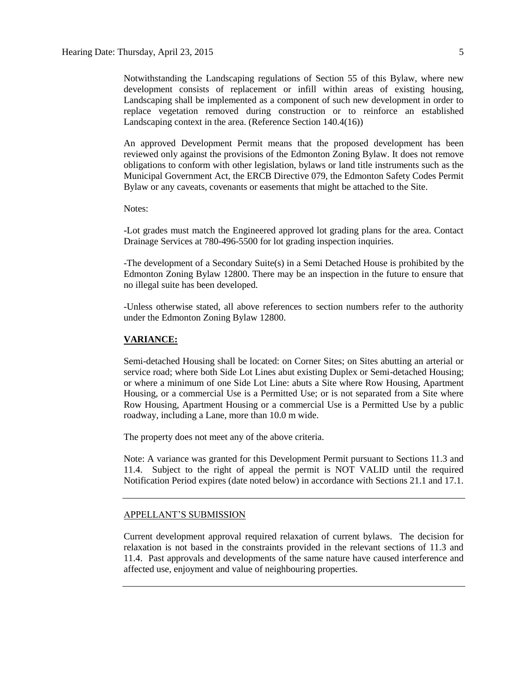Notwithstanding the Landscaping regulations of Section 55 of this Bylaw, where new development consists of replacement or infill within areas of existing housing, Landscaping shall be implemented as a component of such new development in order to replace vegetation removed during construction or to reinforce an established Landscaping context in the area. (Reference Section 140.4(16))

An approved Development Permit means that the proposed development has been reviewed only against the provisions of the Edmonton Zoning Bylaw. It does not remove obligations to conform with other legislation, bylaws or land title instruments such as the Municipal Government Act, the ERCB Directive 079, the Edmonton Safety Codes Permit Bylaw or any caveats, covenants or easements that might be attached to the Site.

#### Notes:

-Lot grades must match the Engineered approved lot grading plans for the area. Contact Drainage Services at 780-496-5500 for lot grading inspection inquiries.

-The development of a Secondary Suite(s) in a Semi Detached House is prohibited by the Edmonton Zoning Bylaw 12800. There may be an inspection in the future to ensure that no illegal suite has been developed.

-Unless otherwise stated, all above references to section numbers refer to the authority under the Edmonton Zoning Bylaw 12800.

#### **VARIANCE:**

Semi-detached Housing shall be located: on Corner Sites; on Sites abutting an arterial or service road; where both Side Lot Lines abut existing Duplex or Semi-detached Housing; or where a minimum of one Side Lot Line: abuts a Site where Row Housing, Apartment Housing, or a commercial Use is a Permitted Use; or is not separated from a Site where Row Housing, Apartment Housing or a commercial Use is a Permitted Use by a public roadway, including a Lane, more than 10.0 m wide.

The property does not meet any of the above criteria.

Note: A variance was granted for this Development Permit pursuant to Sections 11.3 and 11.4. Subject to the right of appeal the permit is NOT VALID until the required Notification Period expires (date noted below) in accordance with Sections 21.1 and 17.1.

#### APPELLANT'S SUBMISSION

Current development approval required relaxation of current bylaws. The decision for relaxation is not based in the constraints provided in the relevant sections of 11.3 and 11.4. Past approvals and developments of the same nature have caused interference and affected use, enjoyment and value of neighbouring properties.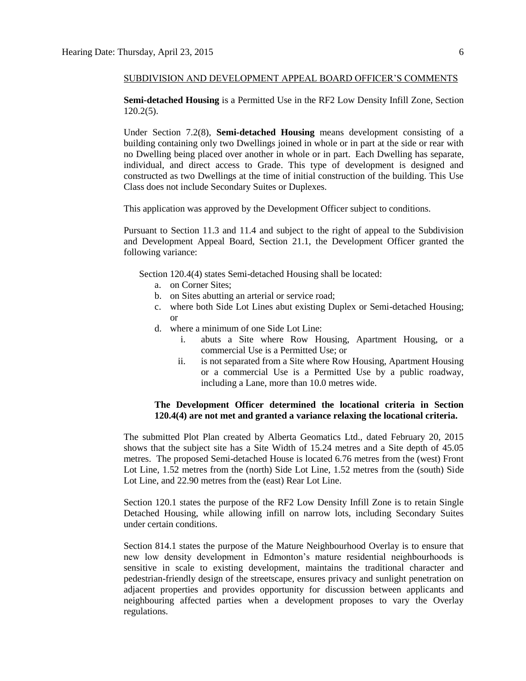#### SUBDIVISION AND DEVELOPMENT APPEAL BOARD OFFICER'S COMMENTS

**Semi-detached Housing** is a Permitted Use in the RF2 Low Density Infill Zone, Section 120.2(5).

Under Section 7.2(8), **Semi-detached Housing** means development consisting of a building containing only two Dwellings joined in whole or in part at the side or rear with no Dwelling being placed over another in whole or in part. Each Dwelling has separate, individual, and direct access to Grade. This type of development is designed and constructed as two Dwellings at the time of initial construction of the building. This Use Class does not include Secondary Suites or Duplexes.

This application was approved by the Development Officer subject to conditions.

Pursuant to Section 11.3 and 11.4 and subject to the right of appeal to the Subdivision and Development Appeal Board, Section 21.1, the Development Officer granted the following variance:

Section 120.4(4) states Semi-detached Housing shall be located:

- a. on Corner Sites;
- b. on Sites abutting an arterial or service road;
- c. where both Side Lot Lines abut existing Duplex or Semi-detached Housing; or
- d. where a minimum of one Side Lot Line:
	- i. abuts a Site where Row Housing, Apartment Housing, or a commercial Use is a Permitted Use; or
	- ii. is not separated from a Site where Row Housing, Apartment Housing or a commercial Use is a Permitted Use by a public roadway, including a Lane, more than 10.0 metres wide.

#### **The Development Officer determined the locational criteria in Section 120.4(4) are not met and granted a variance relaxing the locational criteria.**

The submitted Plot Plan created by Alberta Geomatics Ltd., dated February 20, 2015 shows that the subject site has a Site Width of 15.24 metres and a Site depth of 45.05 metres. The proposed Semi-detached House is located 6.76 metres from the (west) Front Lot Line, 1.52 metres from the (north) Side Lot Line, 1.52 metres from the (south) Side Lot Line, and 22.90 metres from the (east) Rear Lot Line.

Section 120.1 states the purpose of the RF2 Low Density Infill Zone is to retain Single Detached Housing, while allowing infill on narrow lots, including Secondary Suites under certain conditions.

Section 814.1 states the purpose of the Mature Neighbourhood Overlay is to ensure that new low density development in Edmonton's mature residential neighbourhoods is sensitive in scale to existing development, maintains the traditional character and pedestrian-friendly design of the streetscape, ensures privacy and sunlight penetration on adjacent properties and provides opportunity for discussion between applicants and neighbouring affected parties when a development proposes to vary the Overlay regulations.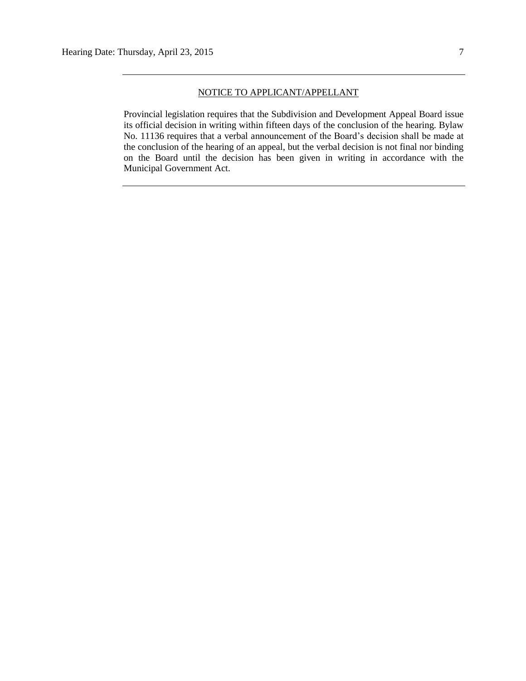#### NOTICE TO APPLICANT/APPELLANT

Provincial legislation requires that the Subdivision and Development Appeal Board issue its official decision in writing within fifteen days of the conclusion of the hearing. Bylaw No. 11136 requires that a verbal announcement of the Board's decision shall be made at the conclusion of the hearing of an appeal, but the verbal decision is not final nor binding on the Board until the decision has been given in writing in accordance with the Municipal Government Act.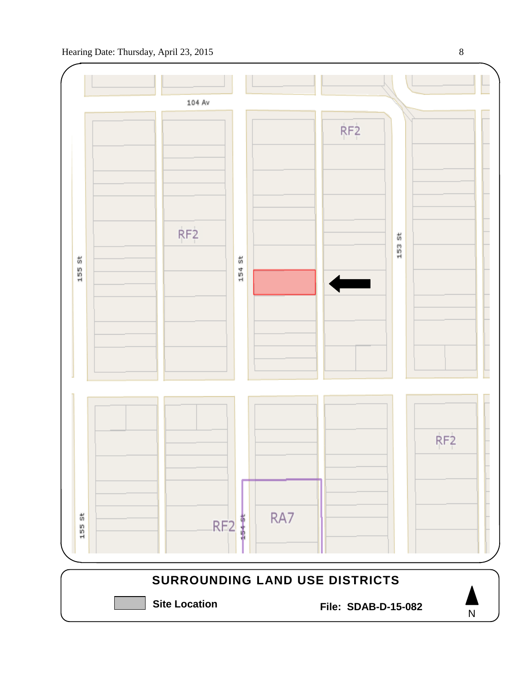

Hearing Date: Thursday, April 23, 2015 8